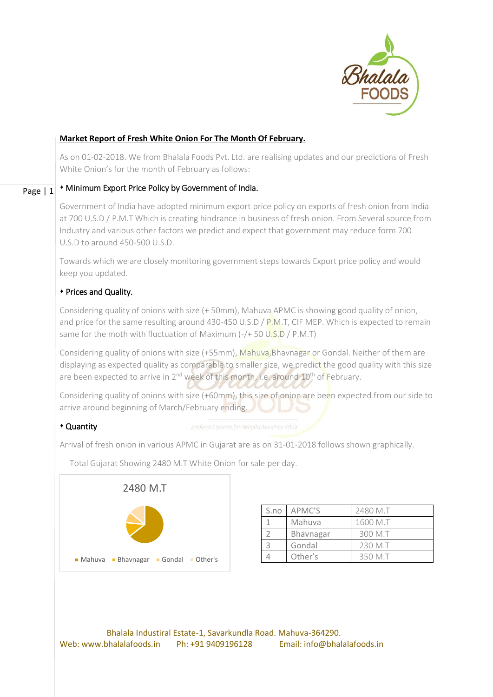

# **Market Report of Fresh White Onion For The Month Of February.**

As on 01-02-2018. We from Bhalala Foods Pvt. Ltd. are realising updates and our predictions of Fresh White Onion's for the month of February as follows:

#### Page | 1 Minimum Export Price Policy by Government of India.

Government of India have adopted minimum export price policy on exports of fresh onion from India at 700 U.S.D / P.M.T Which is creating hindrance in business of fresh onion. From Several source from Industry and various other factors we predict and expect that government may reduce form 700 U.S.D to around 450-500 U.S.D.

Towards which we are closely monitoring government steps towards Export price policy and would keep you updated.

## Prices and Quality.

Considering quality of onions with size (+ 50mm), Mahuva APMC is showing good quality of onion, and price for the same resulting around 430-450 U.S.D /  $P.M.T.$  CIF MEP. Which is expected to remain same for the moth with fluctuation of Maximum  $(-/6 + 50 \cup .5)$  / P.M.T)

Considering quality of onions with size (+55mm), Mahuva, Bhavnagar or Gondal. Neither of them are displaying as expected quality as comparable to smaller size, we predict the good quality with this size are been expected to arrive in 2<sup>nd</sup> week of this month, i.e. around 10<sup>th</sup> of February.

Considering quality of onions with size (+60mm), this size of onion are been expected from our side to arrive around beginning of March/February ending.

## Quantity

Arrival of fresh onion in various APMC in Gujarat are as on 31-01-2018 follows shown graphically.

Total Gujarat Showing 2480 M.T White Onion for sale per day.



| S.no | APMC'S    | 2480 M.T |
|------|-----------|----------|
|      | Mahuva    | 1600 M.T |
|      | Bhavnagar | 300 M.T  |
|      | Gondal    | 230 M.T  |
|      | Other's   | 350 M.T  |